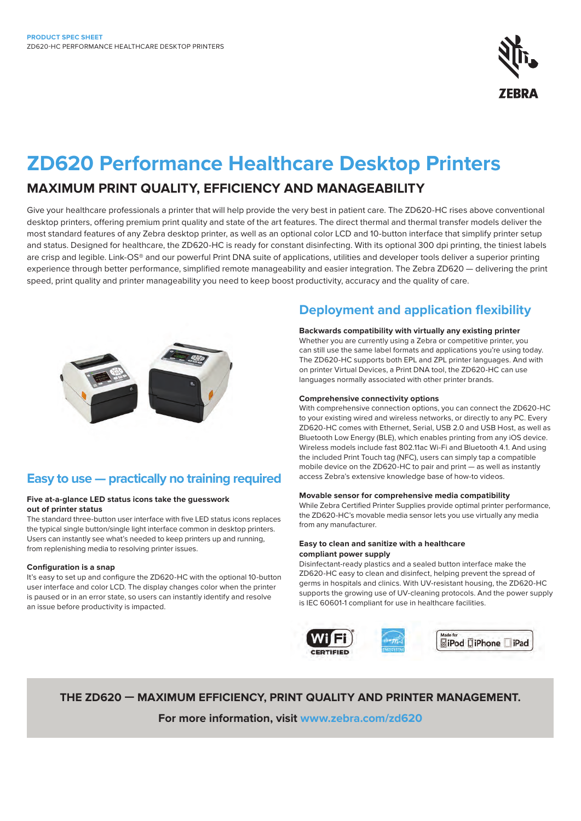

# **ZD620 Performance Healthcare Desktop Printers**

# **MAXIMUM PRINT QUALITY, EFFICIENCY AND MANAGEABILITY**

Give your healthcare professionals a printer that will help provide the very best in patient care. The ZD620-HC rises above conventional desktop printers, offering premium print quality and state of the art features. The direct thermal and thermal transfer models deliver the most standard features of any Zebra desktop printer, as well as an optional color LCD and 10-button interface that simplify printer setup and status. Designed for healthcare, the ZD620-HC is ready for constant disinfecting. With its optional 300 dpi printing, the tiniest labels are crisp and legible. Link-OS® and our powerful Print DNA suite of applications, utilities and developer tools deliver a superior printing experience through better performance, simplified remote manageability and easier integration. The Zebra ZD620 — delivering the print speed, print quality and printer manageability you need to keep boost productivity, accuracy and the quality of care.



# **Easy to use — practically no training required**

### **Five at-a-glance LED status icons take the guesswork out of printer status**

The standard three-button user interface with five LED status icons replaces the typical single button/single light interface common in desktop printers. Users can instantly see what's needed to keep printers up and running, from replenishing media to resolving printer issues.

## **Configuration is a snap**

It's easy to set up and configure the ZD620-HC with the optional 10-button user interface and color LCD. The display changes color when the printer is paused or in an error state, so users can instantly identify and resolve an issue before productivity is impacted.

# **Deployment and application flexibility**

## **Backwards compatibility with virtually any existing printer**

Whether you are currently using a Zebra or competitive printer, you can still use the same label formats and applications you're using today. The ZD620-HC supports both EPL and ZPL printer languages. And with on printer Virtual Devices, a Print DNA tool, the ZD620-HC can use languages normally associated with other printer brands.

## **Comprehensive connectivity options**

With comprehensive connection options, you can connect the ZD620-HC to your existing wired and wireless networks, or directly to any PC. Every ZD620-HC comes with Ethernet, Serial, USB 2.0 and USB Host, as well as Bluetooth Low Energy (BLE), which enables printing from any iOS device. Wireless models include fast 802.11ac Wi-Fi and Bluetooth 4.1. And using the included Print Touch tag (NFC), users can simply tap a compatible mobile device on the ZD620-HC to pair and print — as well as instantly access Zebra's extensive knowledge base of how-to videos.

#### **Movable sensor for comprehensive media compatibility**

While Zebra Certified Printer Supplies provide optimal printer performance, the ZD620-HC's movable media sensor lets you use virtually any media from any manufacturer.

#### **Easy to clean and sanitize with a healthcare compliant power supply**

Disinfectant-ready plastics and a sealed button interface make the ZD620-HC easy to clean and disinfect, helping prevent the spread of germs in hospitals and clinics. With UV-resistant housing, the ZD620-HC supports the growing use of UV-cleaning protocols. And the power supply is IEC 60601-1 compliant for use in healthcare facilities.



**THE ZD620 — MAXIMUM EFFICIENCY, PRINT QUALITY AND PRINTER MANAGEMENT. For more information, visit [www.zebra.com/z](http://www.zebra.com/zd620)d620**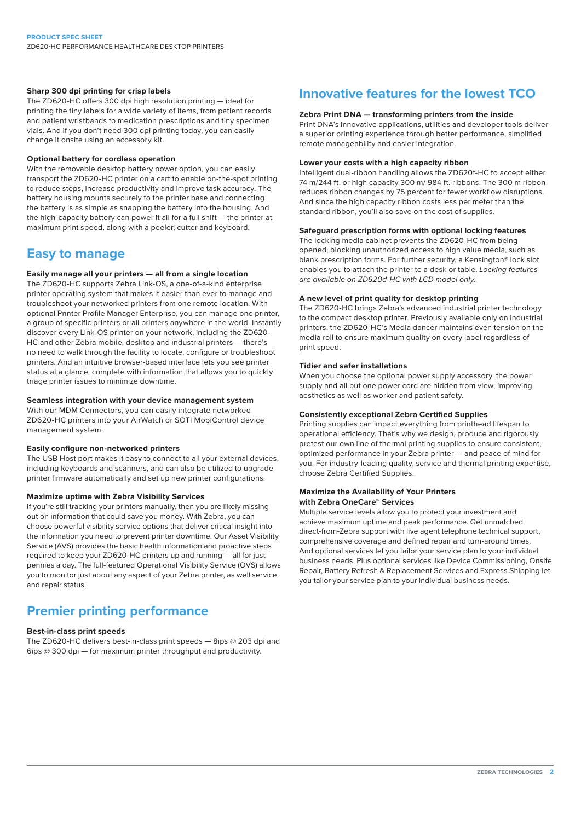#### **Sharp 300 dpi printing for crisp labels**

The ZD620-HC offers 300 dpi high resolution printing — ideal for printing the tiny labels for a wide variety of items, from patient records and patient wristbands to medication prescriptions and tiny specimen vials. And if you don't need 300 dpi printing today, you can easily change it onsite using an accessory kit.

#### **Optional battery for cordless operation**

With the removable desktop battery power option, you can easily transport the ZD620-HC printer on a cart to enable on-the-spot printing to reduce steps, increase productivity and improve task accuracy. The battery housing mounts securely to the printer base and connecting the battery is as simple as snapping the battery into the housing. And the high-capacity battery can power it all for a full shift — the printer at maximum print speed, along with a peeler, cutter and keyboard.

# **Easy to manage**

## **Easily manage all your printers — all from a single location**

The ZD620-HC supports Zebra Link-OS, a one-of-a-kind enterprise printer operating system that makes it easier than ever to manage and troubleshoot your networked printers from one remote location. With optional Printer Profile Manager Enterprise, you can manage one printer, a group of specific printers or all printers anywhere in the world. Instantly discover every Link-OS printer on your network, including the ZD620- HC and other Zebra mobile, desktop and industrial printers — there's no need to walk through the facility to locate, configure or troubleshoot printers. And an intuitive browser-based interface lets you see printer status at a glance, complete with information that allows you to quickly triage printer issues to minimize downtime.

### **Seamless integration with your device management system**

With our MDM Connectors, you can easily integrate networked ZD620-HC printers into your AirWatch or SOTI MobiControl device management system.

#### **Easily configure non-networked printers**

The USB Host port makes it easy to connect to all your external devices, including keyboards and scanners, and can also be utilized to upgrade printer firmware automatically and set up new printer configurations.

#### **Maximize uptime with Zebra Visibility Services**

If you're still tracking your printers manually, then you are likely missing out on information that could save you money. With Zebra, you can choose powerful visibility service options that deliver critical insight into the information you need to prevent printer downtime. Our Asset Visibility Service (AVS) provides the basic health information and proactive steps required to keep your ZD620-HC printers up and running — all for just pennies a day. The full-featured Operational Visibility Service (OVS) allows you to monitor just about any aspect of your Zebra printer, as well service and repair status.

# **Premier printing performance**

### **Best-in-class print speeds**

The ZD620-HC delivers best-in-class print speeds — 8ips @ 203 dpi and 6ips  $@300$  dpi  $-$  for maximum printer throughput and productivity.

# **Innovative features for the lowest TCO**

#### **Zebra Print DNA — transforming printers from the inside**

Print DNA's innovative applications, utilities and developer tools deliver a superior printing experience through better performance, simplified remote manageability and easier integration.

#### **Lower your costs with a high capacity ribbon**

Intelligent dual-ribbon handling allows the ZD620t-HC to accept either 74 m/244 ft. or high capacity 300 m/ 984 ft. ribbons. The 300 m ribbon reduces ribbon changes by 75 percent for fewer workflow disruptions. And since the high capacity ribbon costs less per meter than the standard ribbon, you'll also save on the cost of supplies.

## **Safeguard prescription forms with optional locking features**

The locking media cabinet prevents the ZD620-HC from being opened, blocking unauthorized access to high value media, such as blank prescription forms. For further security, a Kensington® lock slot enables you to attach the printer to a desk or table. *Locking features are available on ZD620d-HC with LCD model only.*

#### **A new level of print quality for desktop printing**

The ZD620-HC brings Zebra's advanced industrial printer technology to the compact desktop printer. Previously available only on industrial printers, the ZD620-HC's Media dancer maintains even tension on the media roll to ensure maximum quality on every label regardless of print speed.

## **Tidier and safer installations**

When you choose the optional power supply accessory, the power supply and all but one power cord are hidden from view, improving aesthetics as well as worker and patient safety.

#### **Consistently exceptional Zebra Certified Supplies**

Printing supplies can impact everything from printhead lifespan to operational efficiency. That's why we design, produce and rigorously pretest our own line of thermal printing supplies to ensure consistent, optimized performance in your Zebra printer — and peace of mind for you. For industry-leading quality, service and thermal printing expertise, choose Zebra Certified Supplies.

#### **Maximize the Availability of Your Printers with Zebra OneCare™ Services**

Multiple service levels allow you to protect your investment and achieve maximum uptime and peak performance. Get unmatched direct-from-Zebra support with live agent telephone technical support, comprehensive coverage and defined repair and turn-around times. And optional services let you tailor your service plan to your individual business needs. Plus optional services like Device Commissioning, Onsite Repair, Battery Refresh & Replacement Services and Express Shipping let you tailor your service plan to your individual business needs.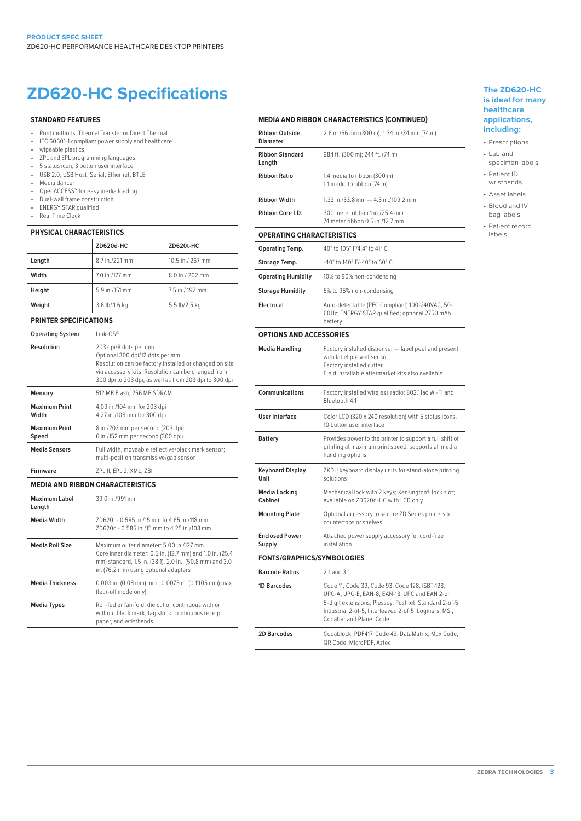# **ZD620-HC Specifications The ZD620-HC**

#### **STANDARD FEATURES**

- Print methods: Thermal Transfer or Direct Thermal
- IEC 60601-1 compliant power supply and healthcare
- wipeable plastics
- ZPL and EPL programming languages
- 5 status icon, 3 button user interface
- USB 2.0, USB Host, Serial, Ethernet, BTLE • Media dancer
- 
- OpenACCESS™ for easy media loading<br>• Dual-wall frame construction
- Dual-wall frame construction<br>• ENERGY STAR qualified • ENERGY STAR qualified
- Real Time Clock

#### **PHYSICAL CHARACTERISTICS**

|        | ZD620d-HC      | <b>ZD620t-HC</b> |
|--------|----------------|------------------|
| Length | 8.7 in./221 mm | 10.5 in./ 267 mm |
| Width  | 7.0 in./177 mm | 8.0 in./ 202 mm  |
| Height | 5.9 in./151 mm | 7.5 in./192 mm   |
| Weight | 3.6 lb/ 1.6 kg | 5.5 lb/2.5 kg    |

#### **PRINTER SPECIFICATIONS**

| <b>Operating System</b>                 | link-OS®                                                                                                                                                                                                                           |  |
|-----------------------------------------|------------------------------------------------------------------------------------------------------------------------------------------------------------------------------------------------------------------------------------|--|
| Resolution                              | 203 dpi/8 dots per mm<br>Optional 300 dpi/12 dots per mm<br>Resolution can be factory installed or changed on site<br>via accessory kits. Resolution can be changed from<br>300 dpi to 203 dpi, as well as from 203 dpi to 300 dpi |  |
| Memory                                  | 512 MB Flash: 256 MB SDRAM                                                                                                                                                                                                         |  |
| Maximum Print<br>Width                  | 4.09 in./104 mm for 203 dpi<br>4.27 in./108 mm for 300 dpi                                                                                                                                                                         |  |
| Maximum Print<br>Speed                  | 8 in./203 mm per second (203 dpi)<br>6 in./152 mm per second (300 dpi)                                                                                                                                                             |  |
| <b>Media Sensors</b>                    | Full width, moveable reflective/black mark sensor;<br>multi-position transmissive/gap sensor                                                                                                                                       |  |
| Firmware                                | ZPL II; EPL 2; XML; ZBI                                                                                                                                                                                                            |  |
| <b>MEDIA AND RIBBON CHARACTERISTICS</b> |                                                                                                                                                                                                                                    |  |
| Maximum Label<br>Length                 | 39.0 in /991 mm                                                                                                                                                                                                                    |  |
| <b>Media Width</b>                      | 7D620t - 0.585 in /15 mm to 4.65 in /118 mm<br>7D620d - 0.585 in /15 mm to 4.25 in /108 mm                                                                                                                                         |  |
| <b>Media Roll Size</b>                  | Maximum outer diameter: 5.00 in /127 mm<br>Core inner diameter: 0.5 in. (12.7 mm) and 1.0 in. (25.4<br>mm) standard, 1.5 in. (38.1), 2.0 in., (50.8 mm) and 3.0<br>in. (76.2 mm) using optional adapters                           |  |
| <b>Media Thickness</b>                  | 0.003 in. (0.08 mm) min.; 0.0075 in. (0.1905 mm) max.<br>(tear-off mode only)                                                                                                                                                      |  |
| <b>Media Types</b>                      | Roll-fed or fan-fold, die cut or continuous with or<br>without black mark, tag stock, continuous receipt<br>paper, and wristbands                                                                                                  |  |

# **MEDIA AND RIBBON CHARACTERISTICS (CONTINUED)**

|                                          | OUN UNAKAU IEKISTIUS (UUNTINUED)                                                                                                                                                                                                             |  |  |
|------------------------------------------|----------------------------------------------------------------------------------------------------------------------------------------------------------------------------------------------------------------------------------------------|--|--|
| <b>Ribbon Outside</b><br><b>Diameter</b> | 2.6 in./66 mm (300 m); 1.34 in./34 mm (74 m)                                                                                                                                                                                                 |  |  |
| <b>Ribbon Standard</b><br>Length         | 984 ft. (300 m); 244 ft. (74 m)                                                                                                                                                                                                              |  |  |
| <b>Ribbon Ratio</b>                      | 1:4 media to ribbon (300 m)<br>1:1 media to ribbon (74 m)                                                                                                                                                                                    |  |  |
| <b>Ribbon Width</b>                      | 1.33 in./33.8 mm - 4.3 in./109.2 mm                                                                                                                                                                                                          |  |  |
| Ribbon Core I.D.                         | 300 meter ribbon 1 in./25.4 mm<br>74 meter ribbon 0.5 in /12.7 mm                                                                                                                                                                            |  |  |
| <b>OPERATING CHARACTERISTICS</b>         |                                                                                                                                                                                                                                              |  |  |
| <b>Operating Temp.</b>                   | 40° to 105° F/4.4° to 41° C                                                                                                                                                                                                                  |  |  |
| Storage Temp.                            | -40° to 140° F/-40° to 60° C                                                                                                                                                                                                                 |  |  |
| <b>Operating Humidity</b>                | 10% to 90% non-condensing                                                                                                                                                                                                                    |  |  |
| <b>Storage Humidity</b>                  | 5% to 95% non-condensing                                                                                                                                                                                                                     |  |  |
| <b>Electrical</b>                        | Auto-detectable (PFC Compliant) 100-240VAC, 50-<br>60Hz; ENERGY STAR qualified; optional 2750 mAh<br>battery                                                                                                                                 |  |  |
| <b>OPTIONS AND ACCESSORIES</b>           |                                                                                                                                                                                                                                              |  |  |
| <b>Media Handling</b>                    | Factory installed dispenser - label peel and present<br>with label present sensor;<br>Factory installed cutter<br>Field installable aftermarket kits also available                                                                          |  |  |
| <b>Communications</b>                    | Factory installed wireless radio: 802.11ac Wi-Fi and<br>Bluetooth 4.1                                                                                                                                                                        |  |  |
| <b>User Interface</b>                    | Color LCD (320 x 240 resolution) with 5 status icons,<br>10 button user interface                                                                                                                                                            |  |  |
| <b>Battery</b>                           | Provides power to the printer to support a full shift of<br>printing at maximum print speed; supports all media<br>handling options                                                                                                          |  |  |
| Keyboard Display<br>Unit                 | ZKDU keyboard display units for stand-alone printing<br>solutions                                                                                                                                                                            |  |  |
| <b>Media Locking</b><br>Cabinet          | Mechanical lock with 2 keys; Kensington® lock slot;<br>available on ZD620d-HC with LCD only                                                                                                                                                  |  |  |
| <b>Mounting Plate</b>                    | Optional accessory to secure ZD Series printers to<br>countertops or shelves                                                                                                                                                                 |  |  |
| <b>Enclosed Power</b><br>Supply          | Attached power supply accessory for cord-free<br>installation                                                                                                                                                                                |  |  |
| <b>FONTS/GRAPHICS/SYMBOLOGIES</b>        |                                                                                                                                                                                                                                              |  |  |
| <b>Barcode Ratios</b>                    | 2:1 and 3:1                                                                                                                                                                                                                                  |  |  |
| 1D Barcodes                              | Code 11, Code 39, Code 93, Code 128, ISBT-128,<br>UPC-A, UPC-E, EAN-8, EAN-13, UPC and EAN 2-or<br>5-digit extensions, Plessey, Postnet, Standard 2-of-5,<br>Industrial 2-of-5, Interleaved 2-of-5, Logmars, MSI,<br>Codabar and Planet Code |  |  |
| <b>2D Barcodes</b>                       | Codablock, PDF417, Code 49, DataMatrix, MaxiCode,                                                                                                                                                                                            |  |  |

QR Code, MicroPDF, Aztec

# **is ideal for many healthcare applications, including:**

- Prescriptions
- Lab and specimen labels
- Patient ID
- wristbands • Asset labels
- Blood and IV bag labels
- Patient record
- labels